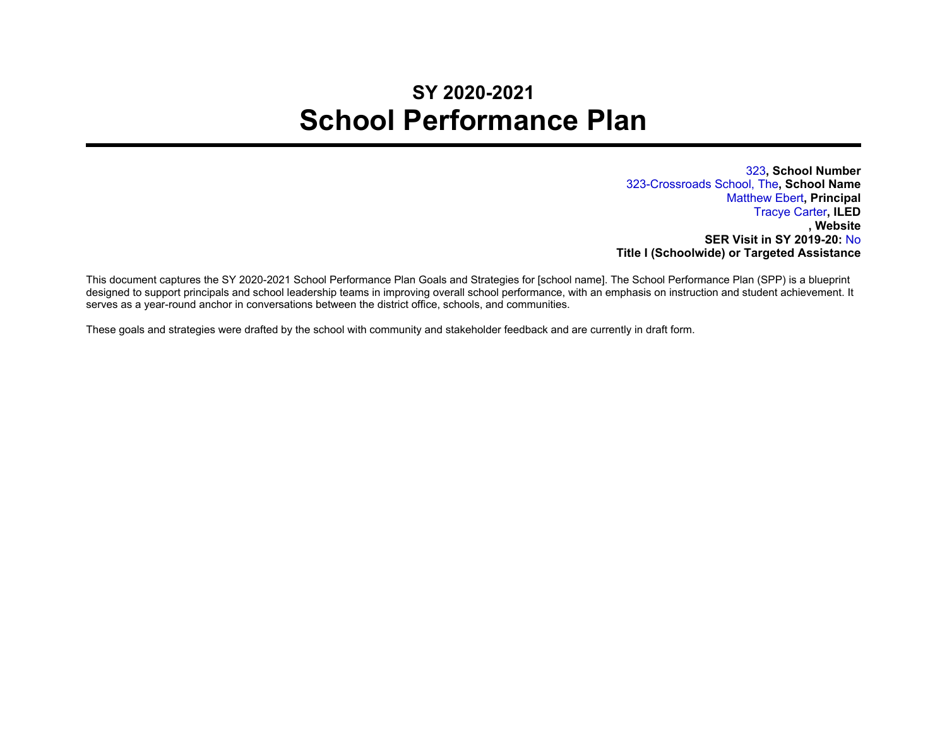## **SY 2020-2021 School Performance Plan**

323**, School Number** 323-Crossroads School, The**, School Name** Matthew Ebert**, Principal** Tracye Carter**, ILED , Website SER Visit in SY 2019-20:** No **Title I (Schoolwide) or Targeted Assistance**

This document captures the SY 2020-2021 School Performance Plan Goals and Strategies for [school name]. The School Performance Plan (SPP) is a blueprint designed to support principals and school leadership teams in improving overall school performance, with an emphasis on instruction and student achievement. It serves as a year-round anchor in conversations between the district office, schools, and communities.

These goals and strategies were drafted by the school with community and stakeholder feedback and are currently in draft form.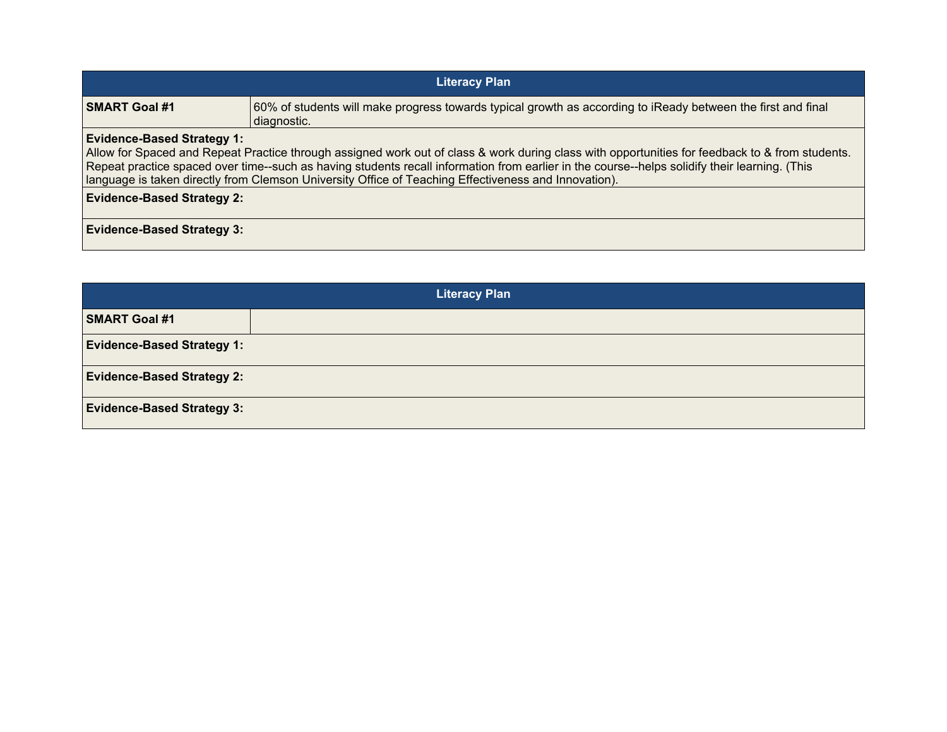| <b>Literacy Plan</b>                                                                                                                                                                                                                                                                                                                                                                                                                          |                                                                                                                             |  |
|-----------------------------------------------------------------------------------------------------------------------------------------------------------------------------------------------------------------------------------------------------------------------------------------------------------------------------------------------------------------------------------------------------------------------------------------------|-----------------------------------------------------------------------------------------------------------------------------|--|
| <b>SMART Goal #1</b>                                                                                                                                                                                                                                                                                                                                                                                                                          | 60% of students will make progress towards typical growth as according to iReady between the first and final<br>diagnostic. |  |
| <b>Evidence-Based Strategy 1:</b><br>Allow for Spaced and Repeat Practice through assigned work out of class & work during class with opportunities for feedback to & from students.<br>Repeat practice spaced over time--such as having students recall information from earlier in the course--helps solidify their learning. (This<br>language is taken directly from Clemson University Office of Teaching Effectiveness and Innovation). |                                                                                                                             |  |
| <b>Evidence-Based Strategy 2:</b>                                                                                                                                                                                                                                                                                                                                                                                                             |                                                                                                                             |  |
| <b>Evidence-Based Strategy 3:</b>                                                                                                                                                                                                                                                                                                                                                                                                             |                                                                                                                             |  |

| <b>Literacy Plan</b>              |  |  |
|-----------------------------------|--|--|
| <b>SMART Goal #1</b>              |  |  |
| <b>Evidence-Based Strategy 1:</b> |  |  |
| <b>Evidence-Based Strategy 2:</b> |  |  |
| <b>Evidence-Based Strategy 3:</b> |  |  |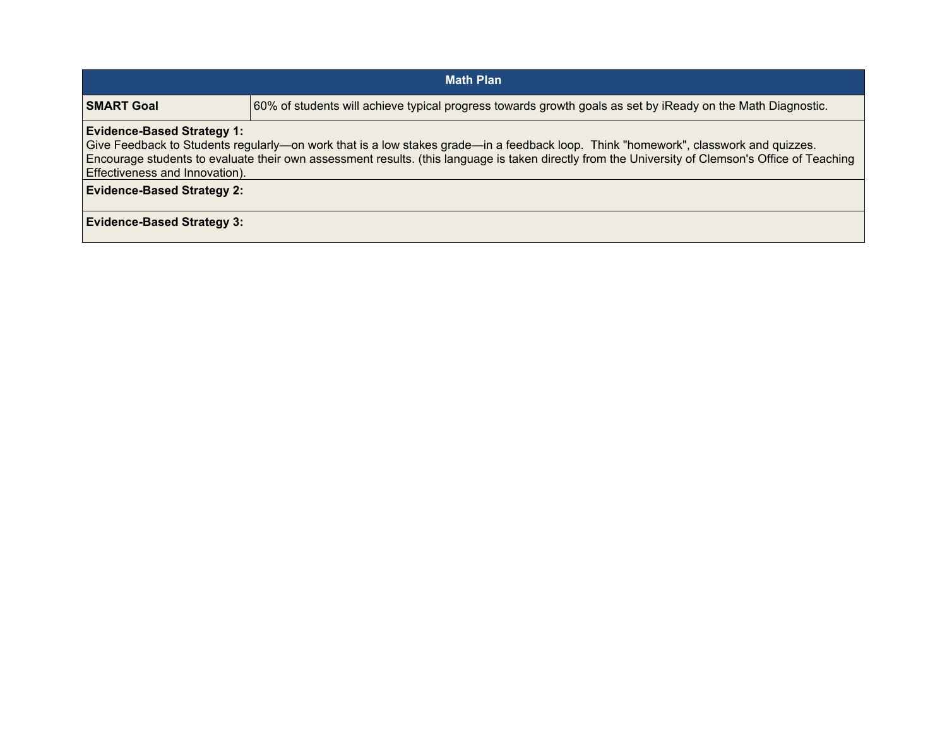| <b>Math Plan</b>                                                                                                                                                                                                                                                                                                                                                                                     |                                                                                                             |  |
|------------------------------------------------------------------------------------------------------------------------------------------------------------------------------------------------------------------------------------------------------------------------------------------------------------------------------------------------------------------------------------------------------|-------------------------------------------------------------------------------------------------------------|--|
| <b>SMART Goal</b>                                                                                                                                                                                                                                                                                                                                                                                    | 60% of students will achieve typical progress towards growth goals as set by iReady on the Math Diagnostic. |  |
| <b>Evidence-Based Strategy 1:</b><br>Give Feedback to Students regularly—on work that is a low stakes grade—in a feedback loop. Think "homework", classwork and quizzes.<br>Encourage students to evaluate their own assessment results. (this language is taken directly from the University of Clemson's Office of Teaching<br>Effectiveness and Innovation).<br><b>Evidence-Based Strategy 2:</b> |                                                                                                             |  |
| <b>Evidence-Based Strategy 3:</b>                                                                                                                                                                                                                                                                                                                                                                    |                                                                                                             |  |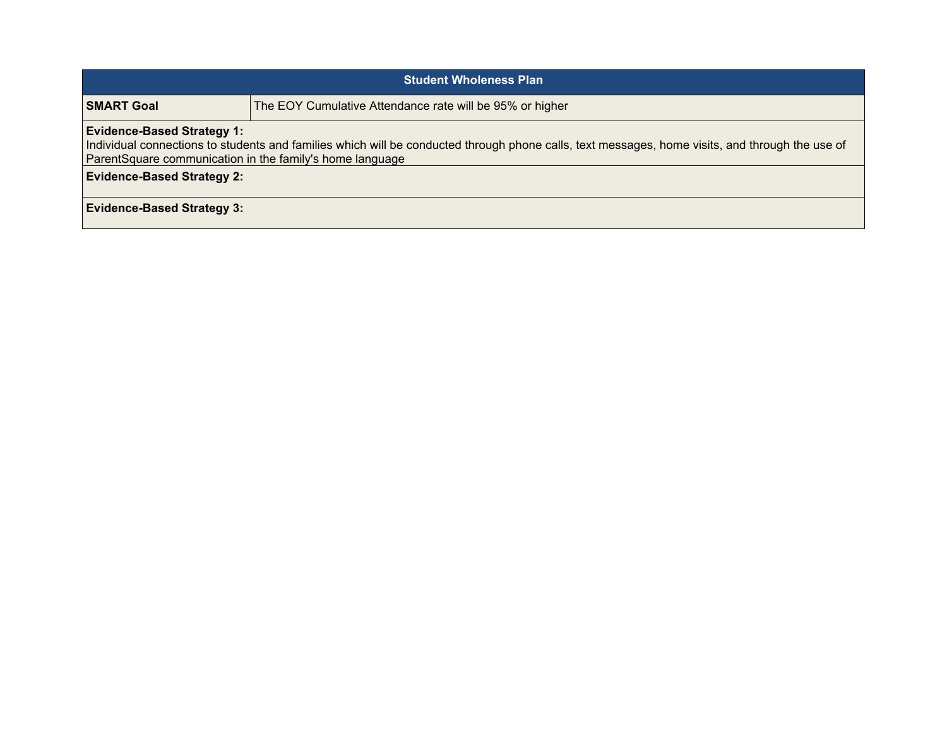| <b>Student Wholeness Plan</b>                                                                                                                                                                                                                    |                                                          |  |
|--------------------------------------------------------------------------------------------------------------------------------------------------------------------------------------------------------------------------------------------------|----------------------------------------------------------|--|
| <b>SMART Goal</b>                                                                                                                                                                                                                                | The EOY Cumulative Attendance rate will be 95% or higher |  |
| <b>Evidence-Based Strategy 1:</b><br>Individual connections to students and families which will be conducted through phone calls, text messages, home visits, and through the use of<br>ParentSquare communication in the family's home language |                                                          |  |
| <b>Evidence-Based Strategy 2:</b>                                                                                                                                                                                                                |                                                          |  |
| <b>Evidence-Based Strategy 3:</b>                                                                                                                                                                                                                |                                                          |  |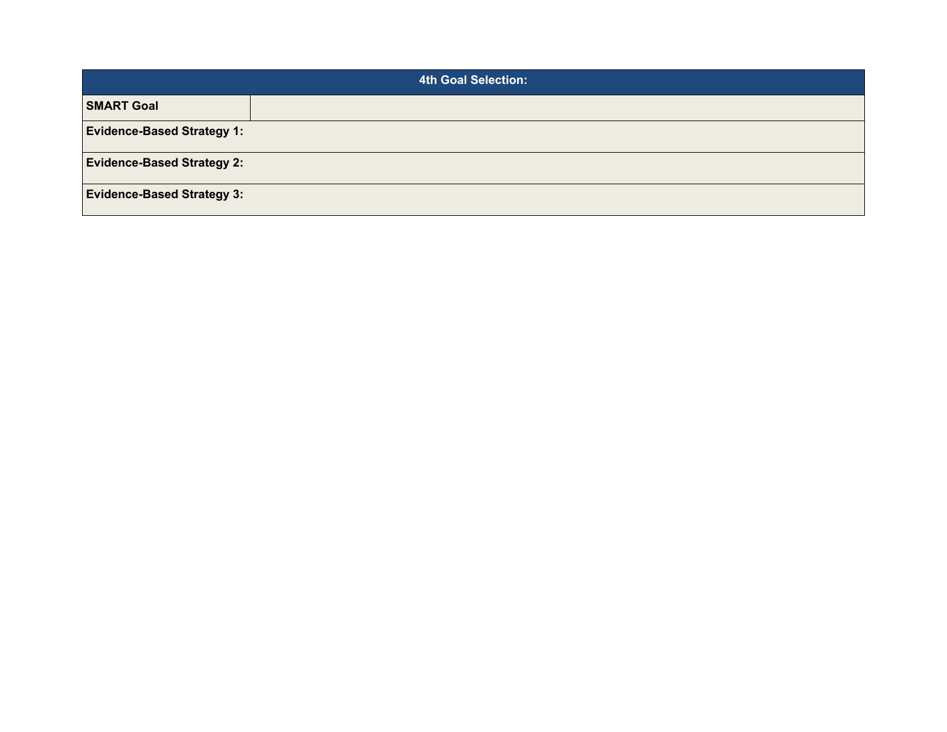| <b>4th Goal Selection:</b>        |  |  |
|-----------------------------------|--|--|
| <b>SMART Goal</b>                 |  |  |
| <b>Evidence-Based Strategy 1:</b> |  |  |
| <b>Evidence-Based Strategy 2:</b> |  |  |
| <b>Evidence-Based Strategy 3:</b> |  |  |